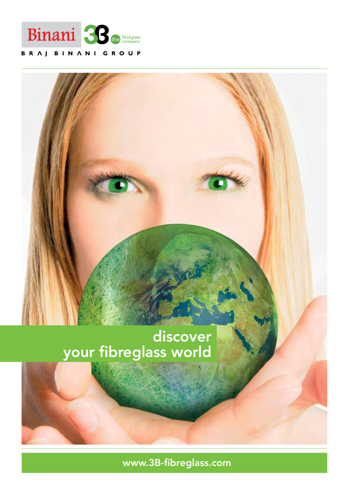

# BRAJ BINANI GROUP

# discover your fibreglass world

www.3B-fibreglass.com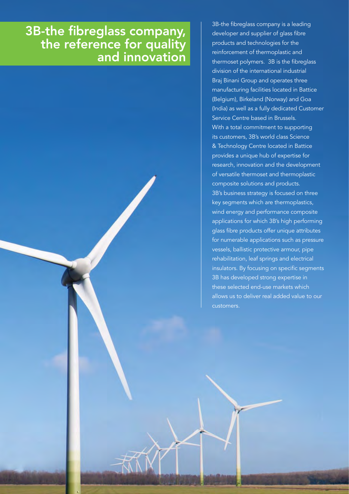# 3B-the fibreglass company, the reference for quality and innovation

3B-the fibreglass company is a leading developer and supplier of glass fibre products and technologies for the reinforcement of thermoplastic and thermoset polymers. 3B is the fibreglass division of the international industrial Braj Binani Group and operates three manufacturing facilities located in Battice (Belgium), Birkeland (Norway) and Goa (India) as well as a fully dedicated Customer Service Centre based in Brussels. With a total commitment to supporting its customers, 3B's world class Science & Technology Centre located in Battice provides a unique hub of expertise for research, innovation and the development of versatile thermoset and thermoplastic composite solutions and products. 3B's business strategy is focused on three key segments which are thermoplastics, wind energy and performance composite applications for which 3B's high performing glass fibre products offer unique attributes for numerable applications such as pressure vessels, ballistic protective armour, pipe rehabilitation, leaf springs and electrical insulators. By focusing on specific segments 3B has developed strong expertise in these selected end-use markets which allows us to deliver real added value to our customers.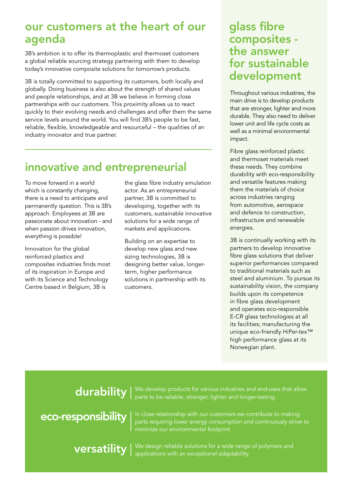# our customers at the heart of our agenda

3B's ambition is to offer its thermoplastic and thermoset customers a global reliable sourcing strategy partnering with them to develop today's innovative composite solutions for tomorrow's products.

3B is totally committed to supporting its customers, both locally and globally. Doing business is also about the strength of shared values and people relationships, and at 3B we believe in forming close partnerships with our customers. This proximity allows us to react quickly to their evolving needs and challenges and offer them the same service levels around the world. You will find 3B's people to be fast, reliable, flexible, knowledgeable and resourceful – the qualities of an industry innovator and true partner.

# innovative and entrepreneurial

To move forward in a world which is constantly changing, there is a need to anticipate and permanently question. This is 3B's approach. Employees at 3B are passionate about innovation - and when passion drives innovation, everything is possible!

Innovation for the global reinforced plastics and composites industries finds most of its inspiration in Europe and with its Science and Technology Centre based in Belgium, 3B is

the glass fibre industry emulation actor. As an entrepreneurial partner, 3B is committed to developing, together with its customers, sustainable innovative solutions for a wide range of markets and applications.

Building on an expertise to develop new glass and new sizing technologies, 3B is designing better value, longerterm, higher performance solutions in partnership with its customers.

# glass fibre composites the answer for sustainable development

Throughout various industries, the main drive is to develop products that are stronger, lighter and more durable. They also need to deliver lower unit and life cycle costs as well as a minimal environmental impact.

Fibre glass reinforced plastic and thermoset materials meet these needs. They combine durability with eco-responsibility and versatile features making them the materials of choice across industries ranging from automotive, aerospace and defence to construction, infrastructure and renewable energies.

3B is continually working with its partners to develop innovative fibre glass solutions that deliver superior performances compared to traditional materials such as steel and aluminium. To pursue its sustainability vision, the company builds upon its competence in fibre glass development and operates eco-responsible E-CR glass technologies at all its facilities; manufacturing the unique eco-friendly HiPer-tex™ high performance glass at its Norwegian plant.

# durability

versatility

eco-responsibility

We develop products for various industries and end-uses that allow parts to be reliable, stronger, lighter and longer-lasting.

In close relationship with our customers we contribute to making parts requiring lower energy consumption and continuously strive to minimize our environmental footprint.

We design reliable solutions for a wide range of polymers and applications with an exceptional adaptability.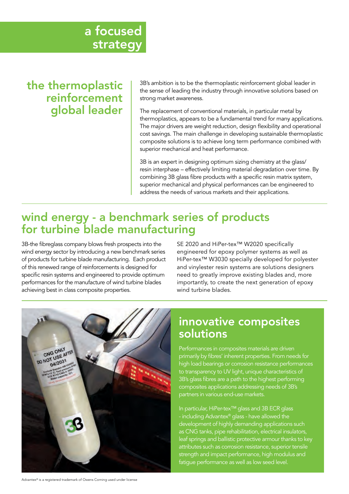# the thermoplastic reinforcement global leader

3B's ambition is to be the thermoplastic reinforcement global leader in the sense of leading the industry through innovative solutions based on strong market awareness.

The replacement of conventional materials, in particular metal by thermoplastics, appears to be a fundamental trend for many applications. The major drivers are weight reduction, design flexibility and operational cost savings. The main challenge in developing sustainable thermoplastic composite solutions is to achieve long term performance combined with superior mechanical and heat performance.

3B is an expert in designing optimum sizing chemistry at the glass/ resin interphase – effectively limiting material degradation over time. By combining 3B glass fibre products with a specific resin matrix system, superior mechanical and physical performances can be engineered to address the needs of various markets and their applications.

# wind energy - a benchmark series of products for turbine blade manufacturing

3B-the fibreglass company blows fresh prospects into the wind energy sector by introducing a new benchmark series of products for turbine blade manufacturing. Each product of this renewed range of reinforcements is designed for specific resin systems and engineered to provide optimum performances for the manufacture of wind turbine blades achieving best in class composite properties.

SE 2020 and HiPer-tex™ W2020 specifically engineered for epoxy polymer systems as well as HiPer-tex™ W3030 specially developed for polyester and vinylester resin systems are solutions designers need to greatly improve existing blades and, more importantly, to create the next generation of epoxy wind turbine blades.



# innovative composites solutions

Performances in composites materials are driven primarily by fibres' inherent properties. From needs for high load bearings or corrosion resistance performances to transparency to UV light, unique characteristics of 3B's glass fibres are a path to the highest performing composites applications addressing needs of 3B's partners in various end-use markets.

In particular, HiPer-tex™ glass and 3B ECR glass - including Advantex® glass - have allowed the development of highly demanding applications such as CNG tanks, pipe rehabilitation, electrical insulators, leaf springs and ballistic protective armour thanks to key attributes such as corrosion resistance, superior tensile strength and impact performance, high modulus and fatigue performance as well as low seed level.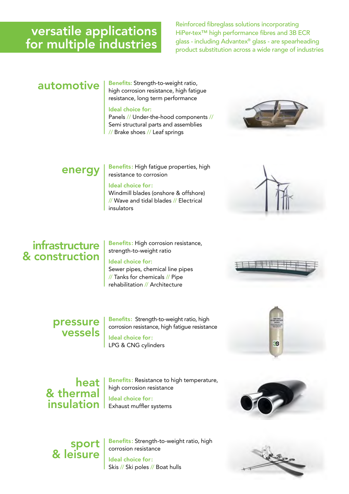# versatile applications for multiple industries

Reinforced fibreglass solutions incorporating HiPer-tex™ high performance fibres and 3B ECR glass - including Advantex® glass - are spearheading product substitution across a wide range of industries

 $a$ utomotive  $|$  Benefits: Strength-to-weight ratio, high corrosion resistance, high fatigue resistance, long term performance

#### Ideal choice for:

Panels // Under-the-hood components // Semi structural parts and assemblies // Brake shoes // Leaf springs



 $\left.\mathsf{energy}\right.\left|\left.\mathsf{Bens}^\mathsf{fits: High\,fatingue\,properties, high}\right.\right|$ resistance to corrosion

### Ideal choice for:

Windmill blades (onshore & offshore) // Wave and tidal blades // Electrical insulators

# infrastructure & construction

Benefits: High corrosion resistance, strength-to-weight ratio

Ideal choice for: Sewer pipes, chemical line pipes

// Tanks for chemicals // Pipe rehabilitation // Architecture

### pressure vessels

Benefits: Strength-to-weight ratio, high corrosion resistance, high fatigue resistance Ideal choice for:

LPG & CNG cylinders



### heat & thermal insulation

Benefits: Resistance to high temperature, high corrosion resistance Ideal choice for: Exhaust muffler systems



# sport & leisure

Benefits: Strength-to-weight ratio, high corrosion resistance Ideal choice for: Skis // Ski poles // Boat hulls

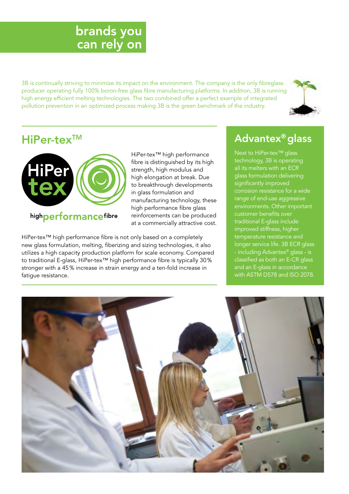# brands you can rely on

3B is continually striving to minimize its impact on the environment. The company is the only fibreglass producer operating fully 100% boron-free glass fibre manufacturing platforms. In addition, 3B is running high energy efficient melting technologies. The two combined offer a perfect example of integrated pollution prevention in an optimized process making 3B is the green benchmark of the industry.



# HiPer-tex<sup>™</sup>



### highperformancefibre

HiPer-tex™ high performance fibre is distinguished by its high strength, high modulus and high elongation at break. Due to breakthrough developments in glass formulation and manufacturing technology, these high performance fibre glass reinforcements can be produced at a commercially attractive cost.

HiPer-tex™ high performance fibre is not only based on a completely new glass formulation, melting, fiberizing and sizing technologies, it also utilizes a high capacity production platform for scale economy. Compared to traditional E-glass, HiPer-tex™ high performance fibre is typically 30 % stronger with a 45 % increase in strain energy and a ten-fold increase in fatigue resistance.

# Advantex® glass

Next to HiPer-tex™ glass technology, 3B is operating all its melters with an ECR glass formulation delivering significantly improved corrosion resistance for a wide range of end-use aggressive environments. Other important customer benefits over traditional E-glass include improved stiffness, higher temperature resistance and longer service life. 3B ECR glass - including Advantex® glass - is classified as both an E-CR glass and an E-glass in accordance with ASTM D578 and ISO 2078.

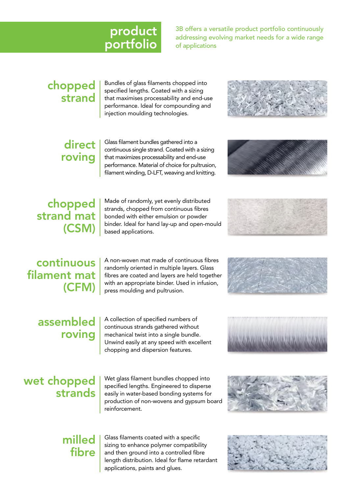# product portfolio

3B offers a versatile product portfolio continuously addressing evolving market needs for a wide range of applications

# chopped strand

Bundles of glass filaments chopped into specified lengths. Coated with a sizing that maximises processability and end-use performance. Ideal for compounding and injection moulding technologies.



# direct roving

Glass filament bundles gathered into a continuous single strand. Coated with a sizing that maximizes processability and end-use performance. Material of choice for pultrusion, filament winding, D-LFT, weaving and knitting.



# chopped strand mat (CSM)

Made of randomly, yet evenly distributed strands, chopped from continuous fibres bonded with either emulsion or powder binder. Ideal for hand lay-up and open-mould based applications.



# continuous filament mat (CFM)

A non-woven mat made of continuous fibres randomly oriented in multiple layers. Glass fibres are coated and layers are held together with an appropriate binder. Used in infusion, press moulding and pultrusion.

# assembled roving

A collection of specified numbers of continuous strands gathered without mechanical twist into a single bundle. Unwind easily at any speed with excellent chopping and dispersion features.





# wet chopped strands

Wet glass filament bundles chopped into specified lengths. Engineered to disperse easily in water-based bonding systems for production of non-wovens and gypsum board reinforcement.



# milled fibre

Glass filaments coated with a specific sizing to enhance polymer compatibility and then ground into a controlled fibre length distribution. Ideal for flame retardant applications, paints and glues.